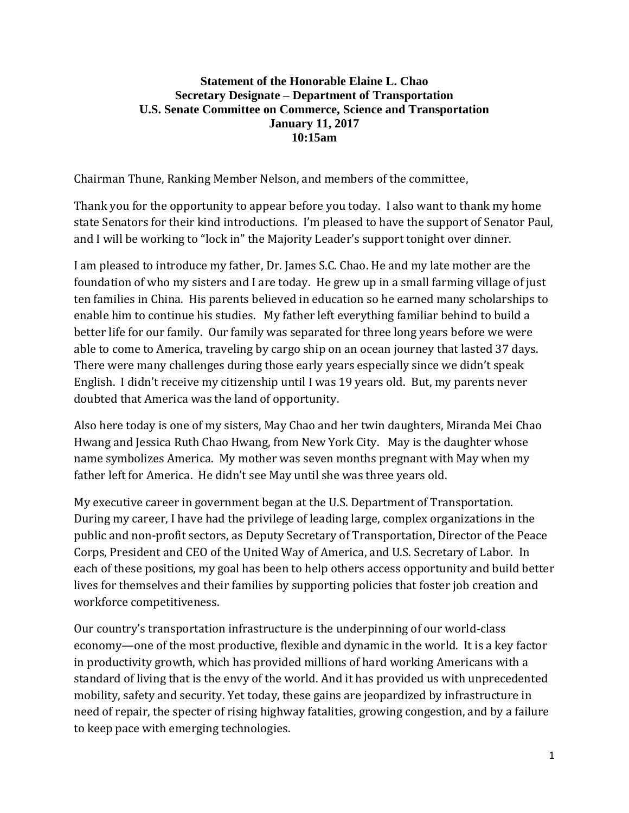## **Statement of the Honorable Elaine L. Chao Secretary Designate – Department of Transportation U.S. Senate Committee on Commerce, Science and Transportation January 11, 2017 10:15am**

Chairman Thune, Ranking Member Nelson, and members of the committee,

Thank you for the opportunity to appear before you today. I also want to thank my home state Senators for their kind introductions. I'm pleased to have the support of Senator Paul, and I will be working to "lock in" the Majority Leader's support tonight over dinner.

I am pleased to introduce my father, Dr. James S.C. Chao. He and my late mother are the foundation of who my sisters and I are today. He grew up in a small farming village of just ten families in China. His parents believed in education so he earned many scholarships to enable him to continue his studies. My father left everything familiar behind to build a better life for our family. Our family was separated for three long years before we were able to come to America, traveling by cargo ship on an ocean journey that lasted 37 days. There were many challenges during those early years especially since we didn't speak English. I didn't receive my citizenship until I was 19 years old. But, my parents never doubted that America was the land of opportunity.

Also here today is one of my sisters, May Chao and her twin daughters, Miranda Mei Chao Hwang and Jessica Ruth Chao Hwang, from New York City. May is the daughter whose name symbolizes America. My mother was seven months pregnant with May when my father left for America. He didn't see May until she was three years old.

My executive career in government began at the U.S. Department of Transportation. During my career, I have had the privilege of leading large, complex organizations in the public and non-profit sectors, as Deputy Secretary of Transportation, Director of the Peace Corps, President and CEO of the United Way of America, and U.S. Secretary of Labor. In each of these positions, my goal has been to help others access opportunity and build better lives for themselves and their families by supporting policies that foster job creation and workforce competitiveness.

Our country's transportation infrastructure is the underpinning of our world-class economy—one of the most productive, flexible and dynamic in the world. It is a key factor in productivity growth, which has provided millions of hard working Americans with a standard of living that is the envy of the world. And it has provided us with unprecedented mobility, safety and security. Yet today, these gains are jeopardized by infrastructure in need of repair, the specter of rising highway fatalities, growing congestion, and by a failure to keep pace with emerging technologies.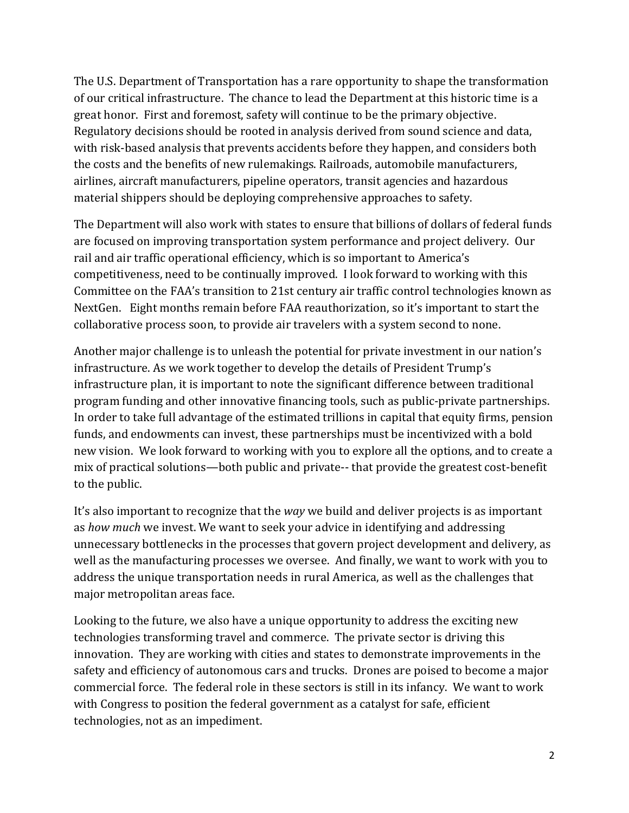The U.S. Department of Transportation has a rare opportunity to shape the transformation of our critical infrastructure. The chance to lead the Department at this historic time is a great honor. First and foremost, safety will continue to be the primary objective. Regulatory decisions should be rooted in analysis derived from sound science and data, with risk-based analysis that prevents accidents before they happen, and considers both the costs and the benefits of new rulemakings. Railroads, automobile manufacturers, airlines, aircraft manufacturers, pipeline operators, transit agencies and hazardous material shippers should be deploying comprehensive approaches to safety.

The Department will also work with states to ensure that billions of dollars of federal funds are focused on improving transportation system performance and project delivery. Our rail and air traffic operational efficiency, which is so important to America's competitiveness, need to be continually improved. I look forward to working with this Committee on the FAA's transition to 21st century air traffic control technologies known as NextGen. Eight months remain before FAA reauthorization, so it's important to start the collaborative process soon, to provide air travelers with a system second to none.

Another major challenge is to unleash the potential for private investment in our nation's infrastructure. As we work together to develop the details of President Trump's infrastructure plan, it is important to note the significant difference between traditional program funding and other innovative financing tools, such as public-private partnerships. In order to take full advantage of the estimated trillions in capital that equity firms, pension funds, and endowments can invest, these partnerships must be incentivized with a bold new vision. We look forward to working with you to explore all the options, and to create a mix of practical solutions—both public and private-- that provide the greatest cost-benefit to the public.

It's also important to recognize that the *way* we build and deliver projects is as important as *how much* we invest. We want to seek your advice in identifying and addressing unnecessary bottlenecks in the processes that govern project development and delivery, as well as the manufacturing processes we oversee. And finally, we want to work with you to address the unique transportation needs in rural America, as well as the challenges that major metropolitan areas face.

Looking to the future, we also have a unique opportunity to address the exciting new technologies transforming travel and commerce. The private sector is driving this innovation. They are working with cities and states to demonstrate improvements in the safety and efficiency of autonomous cars and trucks. Drones are poised to become a major commercial force. The federal role in these sectors is still in its infancy. We want to work with Congress to position the federal government as a catalyst for safe, efficient technologies, not as an impediment.